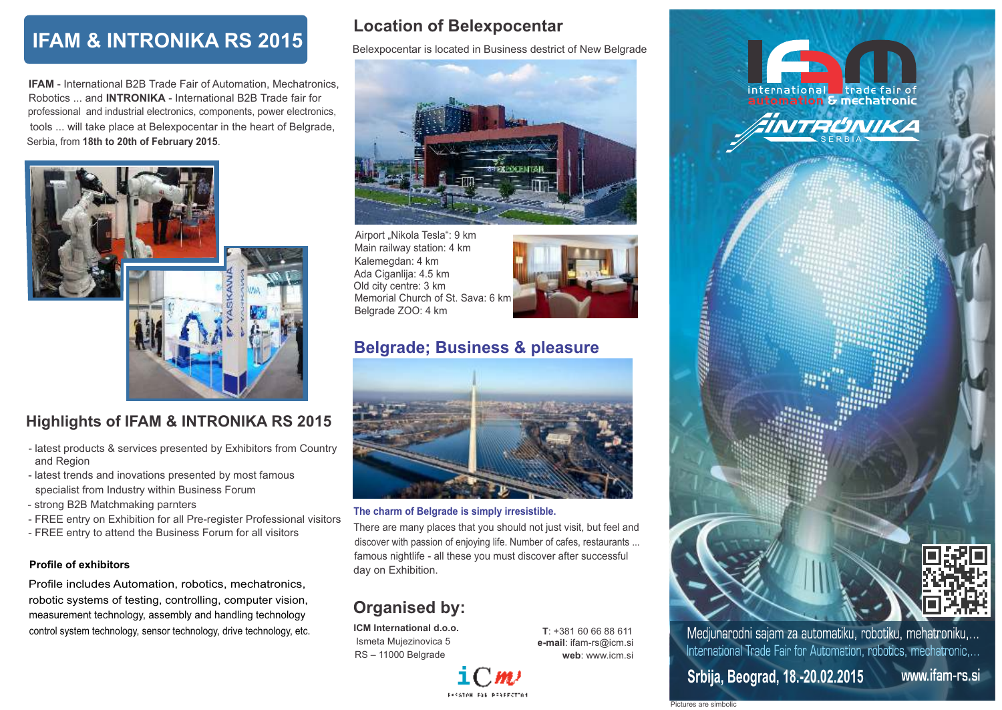# **IFAM & INTRONIKA RS 2015**

 Serbia, from **18th to 20th of February 2015**. **IFAM** - International B2B Trade Fair of Automation, Mechatronics, Robotics ... and **INTRONIKA** - International B2B Trade fair for professional and industrial electronics, components, power electronics, tools ... will take place at Belexpocentar in the heart of Belgrade,



## **Highlights of IFAM & INTRONIKA RS 2015**

- and Region - latest products & services presented by Exhibitors from Country
- latest trends and inovations presented by most famous specialist from Industry within Business Forum
- strong B2B Matchmaking parnters
- FREE entry on Exhibition for all Pre-register Professional visitors
- FREE entry to attend the Business Forum for all visitors

### **Profile of exhibitors**

Profile includes Automation, robotics, mechatronics, robotic systems of testing, controlling, computer vision, measurement technology, assembly and handling technology control system technology, sensor technology, drive technology, etc.

## **Location of Belexpocentar**

Belexpocentar is located in Business destrict of New Belgrade



Airport "Nikola Tesla": 9 km Old city centre: 3 km Main railway station: 4 km Kalemegdan: 4 km Belgrade ZOO: 4 km Ada Ciganlija: 4.5 km Memorial Church of St. Sava: 6 km



## **Belgrade; Business & pleasure**



### **The charm of Belgrade is simply irresistible.**

 discover with passion of enjoying life. Number of cafes, restaurants ... There are many places that you should not just visit, but feel and famous nightlife - all these you must discover after successful day on Exhibition.

# **Organised by:**

**ICM International d.o.o.** Ismeta Mujezinovica 5 RS – 11000 Belgrade



**T**: +381 60 66 88 611 **e-mail**: ifam-rs@icm.si **web**: www.icm.si



**Secret Station** 

Pictures are simboli

www.ifam-rs.si

Medjunarodni sajam za automatiku, robotiku, mehatroniku,... International Trade Fair for Automation, robotics, mechatronic,...

INTRUNIKA

nternational Lirade fair of<br><mark>automation & mechatronic</mark>

international

**Srbija, Beograd, 18.-20.02.2015**